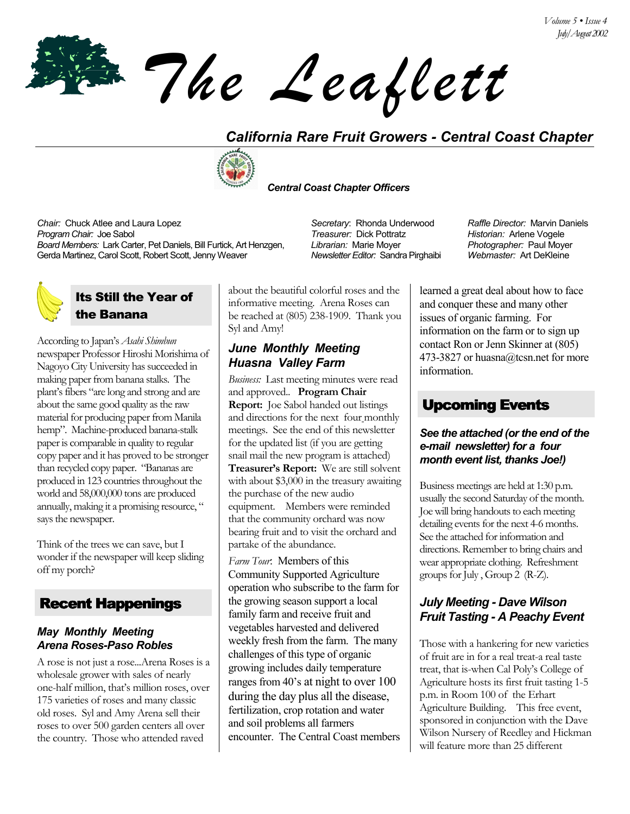*The Leaflett*

# *California Rare Fruit Growers - Central Coast Chapter*



 *Central Coast Chapter Officers*

*Chair:* Chuck Atlee and Laura Lopez *Secretary*: Rhonda Underwood *Raffle Director:* Marvin Daniels *Program Chair:* Joe Sabol *Treasurer:* Dick Pottratz *Historian:* Arlene Vogele *Board Members:* Lark Carter, Pet Daniels, Bill Furtick, Art Henzgen, Gerda Martinez, Carol Scott, Robert Scott, Jenny Weaver

## Its Still the Year of the Banana

According to Japanís *Asahi Shimbun* newspaper Professor Hiroshi Morishima of Nagoyo City University has succeeded in making paper from banana stalks. The plant's fibers "are long and strong and are about the same good quality as the raw material for producing paper from Manila hemp". Machine-produced banana-stalk paper is comparable in quality to regular copy paper and it has proved to be stronger than recycled copy paper. "Bananas are produced in 123 countries throughout the world and 58,000,000 tons are produced annually, making it a promising resource, " says the newspaper.

Think of the trees we can save, but I wonder if the newspaper will keep sliding off my porch?

# Recent Happenings

#### *May Monthly Meeting Arena Roses-Paso Robles*

A rose is not just a rose...Arena Roses is a wholesale grower with sales of nearly one-half million, that's million roses, over 175 varieties of roses and many classic old roses. Syl and Amy Arena sell their roses to over 500 garden centers all over the country. Those who attended raved

about the beautiful colorful roses and the informative meeting. Arena Roses can be reached at (805) 238-1909. Thank you Syl and Amy!

#### *June Monthly Meeting Huasna Valley Farm*

*Business:* Last meeting minutes were read and approved.. **Program Chair Report:** Joe Sabol handed out listings and directions for the next four monthly meetings. See the end of this newsletter for the updated list (if you are getting snail mail the new program is attached) Treasurer's Report: We are still solvent with about \$3,000 in the treasury awaiting the purchase of the new audio equipment. Members were reminded that the community orchard was now bearing fruit and to visit the orchard and partake of the abundance.

*Farm Tour*: Members of this Community Supported Agriculture operation who subscribe to the farm for the growing season support a local family farm and receive fruit and vegetables harvested and delivered weekly fresh from the farm. The many challenges of this type of organic growing includes daily temperature ranges from 40's at night to over 100 during the day plus all the disease, fertilization, crop rotation and water and soil problems all farmers encounter. The Central Coast members

*Librarian:* Marie Moyer *Newsletter Editor:* Sandra Pirghaibi *Photographer:* Paul Moyer *Webmaster:* Art DeKleine

learned a great deal about how to face and conquer these and many other issues of organic farming. For information on the farm or to sign up contact Ron or Jenn Skinner at (805) 473-3827 or huasna@tcsn.net for more information.

# Upcoming Events

#### *See the attached (or the end of the e-mail newsletter) for a four month event list, thanks Joe!)*

Business meetings are held at 1:30 p.m. usually the second Saturday of the month. Joe will bring handouts to each meeting detailing events for the next 4-6 months. See the attached for information and directions. Remember to bring chairs and wear appropriate clothing. Refreshment groups for July , Group 2 (R-Z).

### *July Meeting - Dave Wilson Fruit Tasting - A Peachy Event*

Those with a hankering for new varieties of fruit are in for a real treat-a real taste treat, that is-when Cal Poly's College of Agriculture hosts its first fruit tasting 1-5 p.m. in Room 100 of the Erhart Agriculture Building. This free event, sponsored in conjunction with the Dave Wilson Nursery of Reedley and Hickman will feature more than 25 different